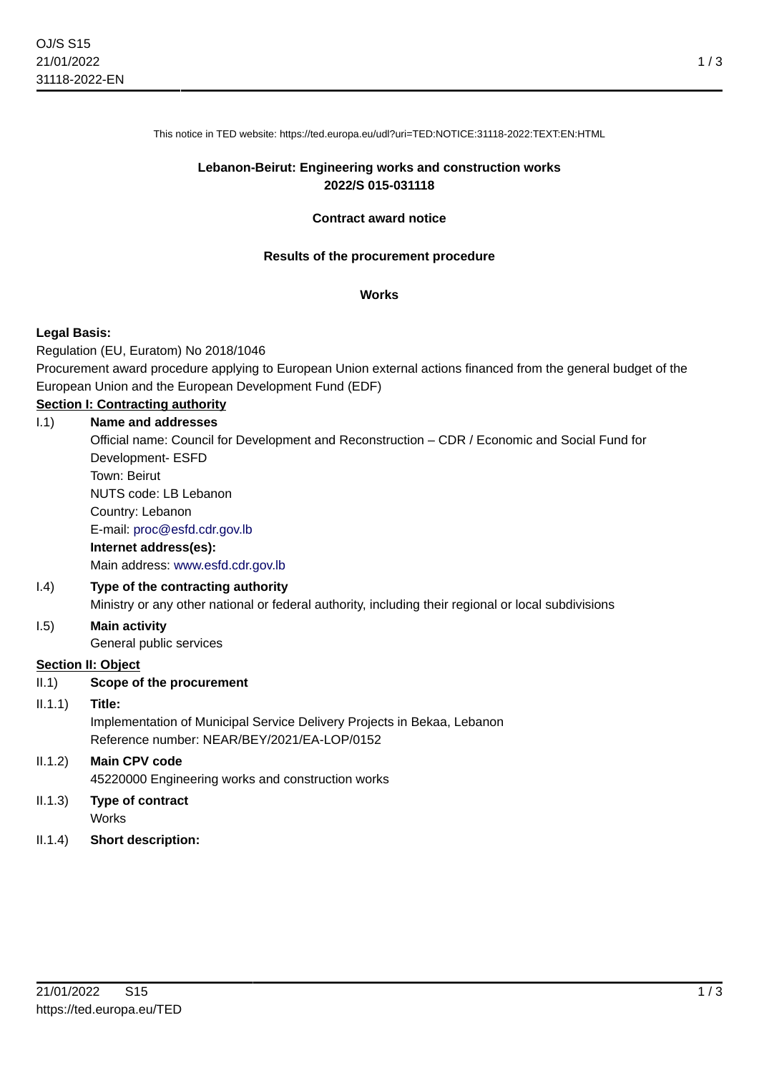This notice in TED website: https://ted.europa.eu/udl?uri=TED:NOTICE:31118-2022:TEXT:EN:HTML

# **Lebanon-Beirut: Engineering works and construction works 2022/S 015-031118**

# **Contract award notice**

#### **Results of the procurement procedure**

#### **Works**

# **Legal Basis:**

Regulation (EU, Euratom) No 2018/1046

Procurement award procedure applying to European Union external actions financed from the general budget of the European Union and the European Development Fund (EDF)

# **Section I: Contracting authority**

| 1.1)            | Name and addresses                                                                                  |
|-----------------|-----------------------------------------------------------------------------------------------------|
|                 | Official name: Council for Development and Reconstruction - CDR / Economic and Social Fund for      |
|                 | Development- ESFD                                                                                   |
|                 | Town: Beirut                                                                                        |
|                 | NUTS code: LB Lebanon                                                                               |
|                 | Country: Lebanon                                                                                    |
|                 | E-mail: proc@esfd.cdr.gov.lb                                                                        |
|                 | Internet address(es):                                                                               |
|                 | Main address: www.esfd.cdr.gov.lb                                                                   |
| (1.4)           | Type of the contracting authority                                                                   |
|                 | Ministry or any other national or federal authority, including their regional or local subdivisions |
| 1.5)            | <b>Main activity</b>                                                                                |
|                 | General public services                                                                             |
|                 | <b>Section II: Object</b>                                                                           |
| II.1            | Scope of the procurement                                                                            |
| $ 1.1.1\rangle$ | Title:                                                                                              |
|                 | Implementation of Municipal Service Delivery Projects in Bekaa, Lebanon                             |
|                 | Reference number: NEAR/BEY/2021/EA-LOP/0152                                                         |
| II.1.2)         | <b>Main CPV code</b>                                                                                |
|                 | 45220000 Engineering works and construction works                                                   |
| II.1.3)         | <b>Type of contract</b>                                                                             |
|                 | <b>Works</b>                                                                                        |

II.1.4) **Short description:**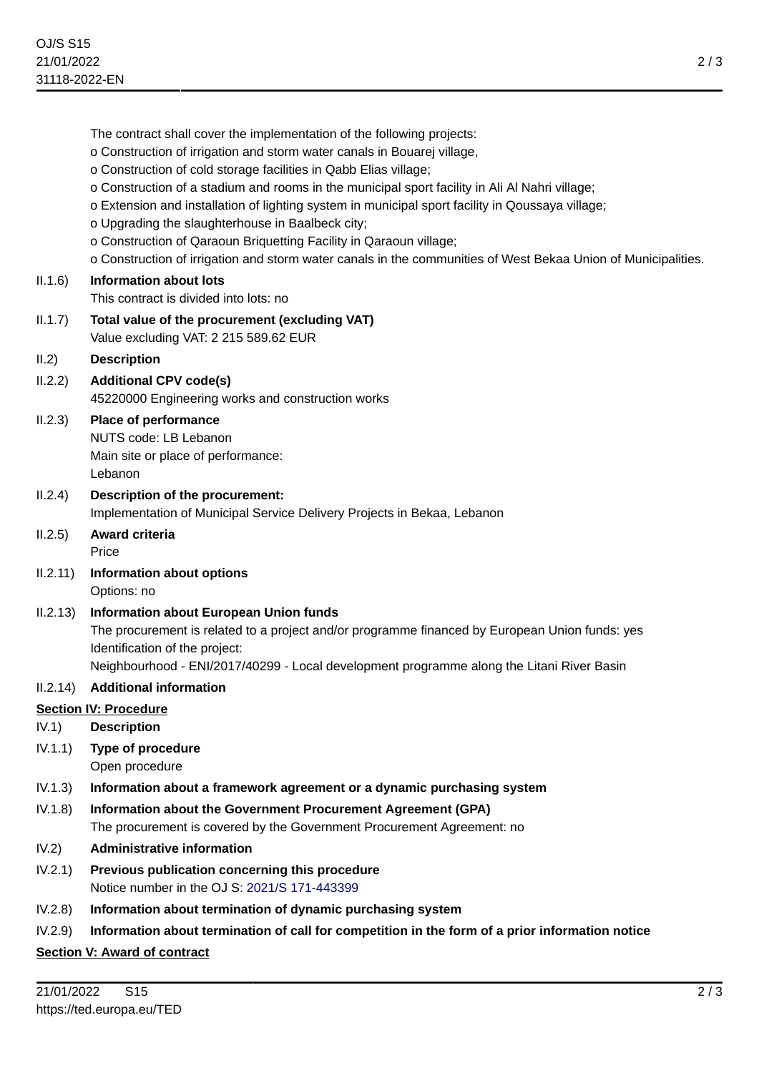|                                        | The contract shall cover the implementation of the following projects:<br>o Construction of irrigation and storm water canals in Bouarej village,<br>o Construction of cold storage facilities in Qabb Elias village;<br>o Construction of a stadium and rooms in the municipal sport facility in Ali Al Nahri village;<br>o Extension and installation of lighting system in municipal sport facility in Qoussaya village;<br>o Upgrading the slaughterhouse in Baalbeck city;<br>o Construction of Qaraoun Briquetting Facility in Qaraoun village;<br>o Construction of irrigation and storm water canals in the communities of West Bekaa Union of Municipalities. |
|----------------------------------------|------------------------------------------------------------------------------------------------------------------------------------------------------------------------------------------------------------------------------------------------------------------------------------------------------------------------------------------------------------------------------------------------------------------------------------------------------------------------------------------------------------------------------------------------------------------------------------------------------------------------------------------------------------------------|
| II.1.6)                                | <b>Information about lots</b>                                                                                                                                                                                                                                                                                                                                                                                                                                                                                                                                                                                                                                          |
|                                        | This contract is divided into lots: no                                                                                                                                                                                                                                                                                                                                                                                                                                                                                                                                                                                                                                 |
| II.1.7)                                | Total value of the procurement (excluding VAT)<br>Value excluding VAT: 2 215 589.62 EUR                                                                                                                                                                                                                                                                                                                                                                                                                                                                                                                                                                                |
| II.2)                                  | <b>Description</b>                                                                                                                                                                                                                                                                                                                                                                                                                                                                                                                                                                                                                                                     |
| II.2.2)                                | <b>Additional CPV code(s)</b><br>45220000 Engineering works and construction works                                                                                                                                                                                                                                                                                                                                                                                                                                                                                                                                                                                     |
| II.2.3)                                | Place of performance<br>NUTS code: LB Lebanon<br>Main site or place of performance:<br>Lebanon                                                                                                                                                                                                                                                                                                                                                                                                                                                                                                                                                                         |
| II.2.4)                                | Description of the procurement:<br>Implementation of Municipal Service Delivery Projects in Bekaa, Lebanon                                                                                                                                                                                                                                                                                                                                                                                                                                                                                                                                                             |
|                                        |                                                                                                                                                                                                                                                                                                                                                                                                                                                                                                                                                                                                                                                                        |
| II.2.5)                                | Award criteria<br>Price                                                                                                                                                                                                                                                                                                                                                                                                                                                                                                                                                                                                                                                |
| II.2.11)                               | Information about options<br>Options: no                                                                                                                                                                                                                                                                                                                                                                                                                                                                                                                                                                                                                               |
| II.2.13)                               | Information about European Union funds<br>The procurement is related to a project and/or programme financed by European Union funds: yes<br>Identification of the project:<br>Neighbourhood - ENI/2017/40299 - Local development programme along the Litani River Basin                                                                                                                                                                                                                                                                                                                                                                                                |
| II.2.14)                               | <b>Additional information</b>                                                                                                                                                                                                                                                                                                                                                                                                                                                                                                                                                                                                                                          |
|                                        | <b>Section IV: Procedure</b>                                                                                                                                                                                                                                                                                                                                                                                                                                                                                                                                                                                                                                           |
| IV.1)                                  | <b>Description</b>                                                                                                                                                                                                                                                                                                                                                                                                                                                                                                                                                                                                                                                     |
| IV.1.1)                                | <b>Type of procedure</b><br>Open procedure                                                                                                                                                                                                                                                                                                                                                                                                                                                                                                                                                                                                                             |
|                                        | Information about a framework agreement or a dynamic purchasing system                                                                                                                                                                                                                                                                                                                                                                                                                                                                                                                                                                                                 |
|                                        | Information about the Government Procurement Agreement (GPA)<br>The procurement is covered by the Government Procurement Agreement: no                                                                                                                                                                                                                                                                                                                                                                                                                                                                                                                                 |
|                                        | <b>Administrative information</b>                                                                                                                                                                                                                                                                                                                                                                                                                                                                                                                                                                                                                                      |
| IV.1.3)<br>IV.1.8)<br>IV.2)<br>IV.2.1) | Previous publication concerning this procedure<br>Notice number in the OJ S: 2021/S 171-443399                                                                                                                                                                                                                                                                                                                                                                                                                                                                                                                                                                         |
| IV.2.8)                                | Information about termination of dynamic purchasing system                                                                                                                                                                                                                                                                                                                                                                                                                                                                                                                                                                                                             |

# **Section V: Award of contract**